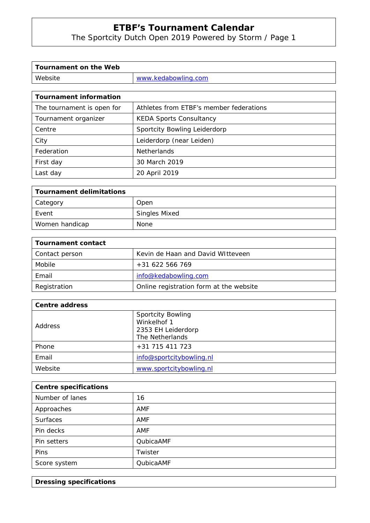The Sportcity Dutch Open 2019 Powered by Storm / Page 1

| Tournament on the Web |                     |
|-----------------------|---------------------|
| Website               | www.kedabowling.com |

| <b>Tournament information</b> |                                         |  |  |  |
|-------------------------------|-----------------------------------------|--|--|--|
| The tournament is open for    | Athletes from ETBF's member federations |  |  |  |
| Tournament organizer          | <b>KEDA Sports Consultancy</b>          |  |  |  |
| Centre                        | Sportcity Bowling Leiderdorp            |  |  |  |
| City                          | Leiderdorp (near Leiden)                |  |  |  |
| Federation                    | <b>Netherlands</b>                      |  |  |  |
| First day                     | 30 March 2019                           |  |  |  |
| Last day                      | 20 April 2019                           |  |  |  |

| <b>Tournament delimitations</b> |                      |
|---------------------------------|----------------------|
| Category                        | Open                 |
| Event                           | <b>Singles Mixed</b> |
| Women handicap                  | None                 |

| Tournament contact |                                         |  |  |  |
|--------------------|-----------------------------------------|--|--|--|
| Contact person     | Kevin de Haan and David Witteveen       |  |  |  |
| Mobile             | $+31622566769$                          |  |  |  |
| Email              | info@kedabowling.com                    |  |  |  |
| Registration       | Online registration form at the website |  |  |  |

| <b>Centre address</b> |                                                                                  |  |  |  |
|-----------------------|----------------------------------------------------------------------------------|--|--|--|
| <b>Address</b>        | <b>Sportcity Bowling</b><br>Winkelhof 1<br>2353 EH Leiderdorp<br>The Netherlands |  |  |  |
| Phone                 | +31 715 411 723                                                                  |  |  |  |
| Email                 | info@sportcitybowling.nl                                                         |  |  |  |
| Website               | www.sportcitybowling.nl                                                          |  |  |  |

| <b>Centre specifications</b> |           |  |  |
|------------------------------|-----------|--|--|
| Number of lanes              | 16        |  |  |
| Approaches                   | AMF       |  |  |
| <b>Surfaces</b>              | AMF       |  |  |
| Pin decks                    | AMF       |  |  |
| Pin setters                  | QubicaAMF |  |  |
| <b>Pins</b>                  | Twister   |  |  |
| Score system                 | QubicaAMF |  |  |

**Dressing specifications**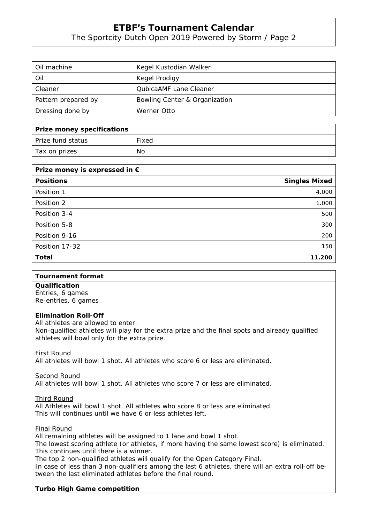The Sportcity Dutch Open 2019 Powered by Storm / Page 2

| Oil machine         | Kegel Kustodian Walker        |
|---------------------|-------------------------------|
| Oil                 | Kegel Prodigy                 |
| Cleaner             | <b>QubicaAMF Lane Cleaner</b> |
| Pattern prepared by | Bowling Center & Organization |
| Dressing done by    | Werner Otto                   |

| Prize money specifications |       |
|----------------------------|-------|
| Prize fund status          | Fixed |
| Tax on prizes              | No    |

| Prize money is expressed in $\epsilon$ |                      |  |  |
|----------------------------------------|----------------------|--|--|
| <b>Positions</b>                       | <b>Singles Mixed</b> |  |  |
| Position 1                             | 4.000                |  |  |
| Position 2                             | 1.000                |  |  |
| Position 3-4                           | 500                  |  |  |
| Position 5-8                           | 300                  |  |  |
| Position 9-16                          | 200                  |  |  |
| Position 17-32                         | 150                  |  |  |
| <b>Total</b>                           | 11.200               |  |  |

#### **Tournament format**

**Qualification**  Entries, 6 games Re-entries, 6 games

#### **Elimination Roll-Off**

All athletes are allowed to enter.

Non-qualified athletes will play for the extra prize and the final spots and already qualified athletes will bowl only for the extra prize.

First Round

All athletes will bowl 1 shot. All athletes who score 6 or less are eliminated.

Second Round

All athletes will bowl 1 shot. All athletes who score 7 or less are eliminated.

Third Round

All Athletes will bowl 1 shot. All athletes who score 8 or less are eliminated. This will continues until we have 6 or less athletes left.

Final Round

All remaining athletes will be assigned to 1 lane and bowl 1 shot.

The lowest scoring athlete (or athletes, if more having the same lowest score) is eliminated. This continues until there is a winner.

The top 2 non-qualified athletes will qualify for the Open Category Final.

In case of less than 3 non-qualifiers among the last 6 athletes, there will an extra roll-off between the last eliminated athletes before the final round.

## **Turbo High Game competition**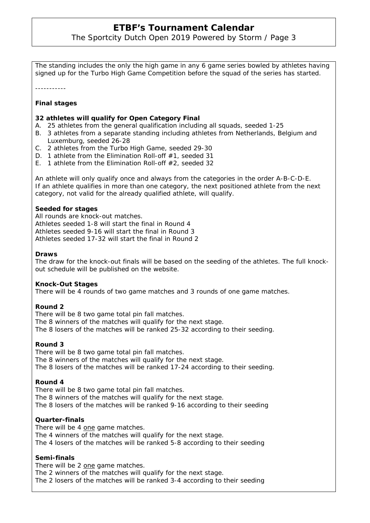The Sportcity Dutch Open 2019 Powered by Storm / Page 3

The standing includes the only the high game in any 6 game series bowled by athletes having signed up for the Turbo High Game Competition before the squad of the series has started.

-----------

## **Final stages**

### **32 athletes will qualify for Open Category Final**

- A. 25 athletes from the general qualification including all squads, seeded 1-25
- B. 3 athletes from a separate standing including athletes from Netherlands, Belgium and Luxemburg, seeded 26-28
- C. 2 athletes from the Turbo High Game, seeded 29-30
- D. 1 athlete from the Elimination Roll-off #1, seeded 31
- E. 1 athlete from the Elimination Roll-off #2, seeded 32

An athlete will only qualify once and always from the categories in the order A-B-C-D-E. If an athlete qualifies in more than one category, the next positioned athlete from the next category, not valid for the already qualified athlete, will qualify.

#### **Seeded for stages**

All rounds are knock-out matches. Athletes seeded 1-8 will start the final in Round 4 Athletes seeded 9-16 will start the final in Round 3 Athletes seeded 17-32 will start the final in Round 2

#### **Draws**

The draw for the knock-out finals will be based on the seeding of the athletes. The full knockout schedule will be published on the website.

#### **Knock-Out Stages**

There will be 4 rounds of two game matches and 3 rounds of one game matches.

#### **Round 2**

There will be 8 two game total pin fall matches. The 8 winners of the matches will qualify for the next stage. The 8 losers of the matches will be ranked 25-32 according to their seeding.

#### **Round 3**

There will be 8 two game total pin fall matches. The 8 winners of the matches will qualify for the next stage. The 8 losers of the matches will be ranked 17-24 according to their seeding.

#### **Round 4**

There will be 8 two game total pin fall matches. The 8 winners of the matches will qualify for the next stage. The 8 losers of the matches will be ranked 9-16 according to their seeding

#### **Quarter-finals**

There will be 4 one game matches. The 4 winners of the matches will qualify for the next stage. The 4 losers of the matches will be ranked 5-8 according to their seeding

#### **Semi-finals**

There will be 2 one game matches.

The 2 winners of the matches will qualify for the next stage.

The 2 losers of the matches will be ranked 3-4 according to their seeding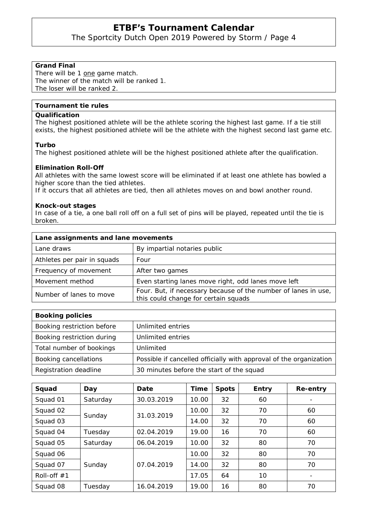The Sportcity Dutch Open 2019 Powered by Storm / Page 4

## **Grand Final**

There will be 1 one game match. The winner of the match will be ranked 1. The loser will be ranked 2.

# **Tournament tie rules**

## **Qualification**

The highest positioned athlete will be the athlete scoring the highest last game. If a tie still exists, the highest positioned athlete will be the athlete with the highest second last game etc.

#### **Turbo**

The highest positioned athlete will be the highest positioned athlete after the qualification.

#### **Elimination Roll-Off**

All athletes with the same lowest score will be eliminated if at least one athlete has bowled a higher score than the tied athletes.

If it occurs that all athletes are tied, then all athletes moves on and bowl another round.

#### **Knock-out stages**

In case of a tie, a one ball roll off on a full set of pins will be played, repeated until the tie is broken.

| Lane assignments and lane movements |                                                                                                        |  |  |
|-------------------------------------|--------------------------------------------------------------------------------------------------------|--|--|
| Lane draws                          | By impartial notaries public                                                                           |  |  |
| Athletes per pair in squads         | Four                                                                                                   |  |  |
| Frequency of movement               | After two games                                                                                        |  |  |
| Movement method                     | Even starting lanes move right, odd lanes move left                                                    |  |  |
| Number of lanes to move             | Four. But, if necessary because of the number of lanes in use,<br>this could change for certain squads |  |  |

| <b>Booking policies</b>    |                                                                    |
|----------------------------|--------------------------------------------------------------------|
| Booking restriction before | Unlimited entries                                                  |
| Booking restriction during | Unlimited entries                                                  |
| Total number of bookings   | Unlimited                                                          |
| Booking cancellations      | Possible if cancelled officially with approval of the organization |
| Registration deadline      | 30 minutes before the start of the squad                           |

| Squad         | Day      | Date       | Time  | <b>Spots</b> | <b>Entry</b> | Re-entry |
|---------------|----------|------------|-------|--------------|--------------|----------|
| Squad 01      | Saturday | 30.03.2019 | 10.00 | 32           | 60           |          |
| Squad 02      | Sunday   | 31.03.2019 | 10.00 | 32           | 70           | 60       |
| Squad 03      |          |            | 14.00 | 32           | 70           | 60       |
| Squad 04      | Tuesday  | 02.04.2019 | 19.00 | 16           | 70           | 60       |
| Squad 05      | Saturday | 06.04.2019 | 10.00 | 32           | 80           | 70       |
| Squad 06      | Sunday   | 07.04.2019 | 10.00 | 32           | 80           | 70       |
| Squad 07      |          |            | 14.00 | 32           | 80           | 70       |
| Roll-off $#1$ |          |            | 17.05 | 64           | 10           |          |
| Squad 08      | Tuesday  | 16.04.2019 | 19.00 | 16           | 80           | 70       |